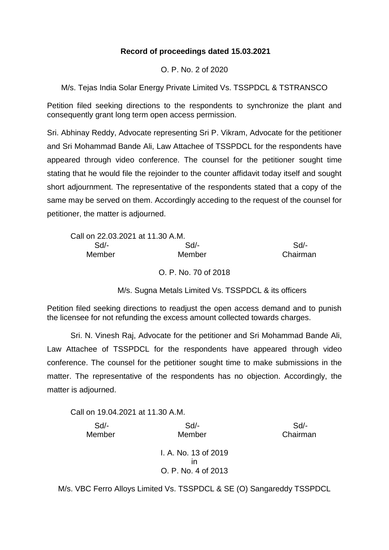## **Record of proceedings dated 15.03.2021**

O. P. No. 2 of 2020

M/s. Tejas India Solar Energy Private Limited Vs. TSSPDCL & TSTRANSCO

Petition filed seeking directions to the respondents to synchronize the plant and consequently grant long term open access permission.

Sri. Abhinay Reddy, Advocate representing Sri P. Vikram, Advocate for the petitioner and Sri Mohammad Bande Ali, Law Attachee of TSSPDCL for the respondents have appeared through video conference. The counsel for the petitioner sought time stating that he would file the rejoinder to the counter affidavit today itself and sought short adjournment. The representative of the respondents stated that a copy of the same may be served on them. Accordingly acceding to the request of the counsel for petitioner, the matter is adjourned.

| Call on 22.03.2021 at 11.30 A.M. |          |
|----------------------------------|----------|
| $Sd/-$                           | Sd       |
| Member                           | Chairman |
|                                  |          |

O. P. No. 70 of 2018

M/s. Sugna Metals Limited Vs. TSSPDCL & its officers

Petition filed seeking directions to readjust the open access demand and to punish the licensee for not refunding the excess amount collected towards charges.

Sri. N. Vinesh Raj, Advocate for the petitioner and Sri Mohammad Bande Ali, Law Attachee of TSSPDCL for the respondents have appeared through video conference. The counsel for the petitioner sought time to make submissions in the matter. The representative of the respondents has no objection. Accordingly, the matter is adjourned.

Call on 19.04.2021 at 11.30 A.M.

 Sd/- Sd/- Sd/- Member Member Chairman I. A. No. 13 of 2019 in O. P. No. 4 of 2013

M/s. VBC Ferro Alloys Limited Vs. TSSPDCL & SE (O) Sangareddy TSSPDCL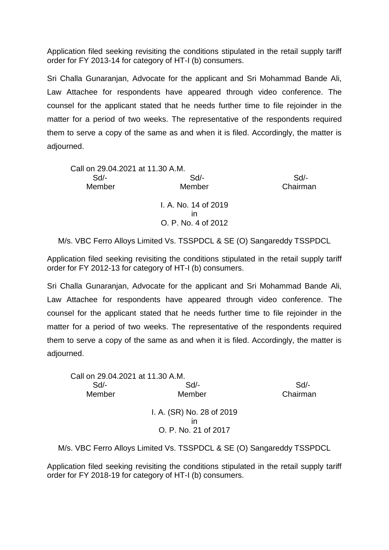Application filed seeking revisiting the conditions stipulated in the retail supply tariff order for FY 2013-14 for category of HT-I (b) consumers.

Sri Challa Gunaranjan, Advocate for the applicant and Sri Mohammad Bande Ali, Law Attachee for respondents have appeared through video conference. The counsel for the applicant stated that he needs further time to file rejoinder in the matter for a period of two weeks. The representative of the respondents required them to serve a copy of the same as and when it is filed. Accordingly, the matter is adjourned.

| Call on 29.04.2021 at 11.30 A.M. |          |
|----------------------------------|----------|
| Sd                               | Sd       |
| Member                           | Chairman |
| I. A. No. 14 of 2019             |          |
| ın                               |          |
| O. P. No. 4 of 2012              |          |
|                                  |          |

M/s. VBC Ferro Alloys Limited Vs. TSSPDCL & SE (O) Sangareddy TSSPDCL

Application filed seeking revisiting the conditions stipulated in the retail supply tariff order for FY 2012-13 for category of HT-I (b) consumers.

Sri Challa Gunaranjan, Advocate for the applicant and Sri Mohammad Bande Ali, Law Attachee for respondents have appeared through video conference. The counsel for the applicant stated that he needs further time to file rejoinder in the matter for a period of two weeks. The representative of the respondents required them to serve a copy of the same as and when it is filed. Accordingly, the matter is adjourned.

| Call on 29.04.2021 at 11.30 A.M. |                           |          |
|----------------------------------|---------------------------|----------|
| $Sd$ -                           | $Sd$ -                    | Sd       |
| Member                           | Member                    | Chairman |
|                                  | I. A. (SR) No. 28 of 2019 |          |
|                                  | ın                        |          |
|                                  | O. P. No. 21 of 2017      |          |
|                                  |                           |          |

M/s. VBC Ferro Alloys Limited Vs. TSSPDCL & SE (O) Sangareddy TSSPDCL

Application filed seeking revisiting the conditions stipulated in the retail supply tariff order for FY 2018-19 for category of HT-I (b) consumers.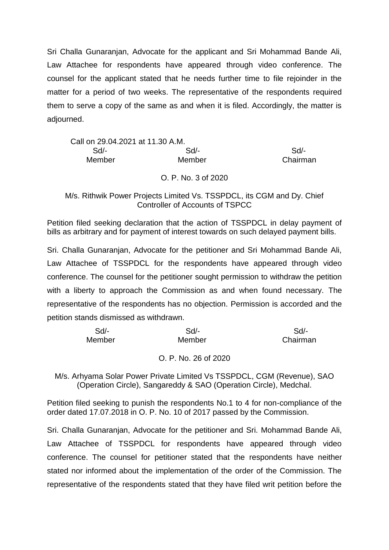Sri Challa Gunaranjan, Advocate for the applicant and Sri Mohammad Bande Ali, Law Attachee for respondents have appeared through video conference. The counsel for the applicant stated that he needs further time to file rejoinder in the matter for a period of two weeks. The representative of the respondents required them to serve a copy of the same as and when it is filed. Accordingly, the matter is adjourned.

| Call on 29.04.2021 at 11.30 A.M. |        |          |
|----------------------------------|--------|----------|
| Sd/-                             | $Sd$ - | Sd       |
| Member                           | Member | Chairman |

O. P. No. 3 of 2020

## M/s. Rithwik Power Projects Limited Vs. TSSPDCL, its CGM and Dy. Chief Controller of Accounts of TSPCC

Petition filed seeking declaration that the action of TSSPDCL in delay payment of bills as arbitrary and for payment of interest towards on such delayed payment bills.

Sri. Challa Gunaranjan, Advocate for the petitioner and Sri Mohammad Bande Ali, Law Attachee of TSSPDCL for the respondents have appeared through video conference. The counsel for the petitioner sought permission to withdraw the petition with a liberty to approach the Commission as and when found necessary. The representative of the respondents has no objection. Permission is accorded and the petition stands dismissed as withdrawn.

| Sd/-   | Sd/-   | Sd       |
|--------|--------|----------|
| Member | Member | Chairman |

## O. P. No. 26 of 2020

M/s. Arhyama Solar Power Private Limited Vs TSSPDCL, CGM (Revenue), SAO (Operation Circle), Sangareddy & SAO (Operation Circle), Medchal.

Petition filed seeking to punish the respondents No.1 to 4 for non-compliance of the order dated 17.07.2018 in O. P. No. 10 of 2017 passed by the Commission.

Sri. Challa Gunaranjan, Advocate for the petitioner and Sri. Mohammad Bande Ali, Law Attachee of TSSPDCL for respondents have appeared through video conference. The counsel for petitioner stated that the respondents have neither stated nor informed about the implementation of the order of the Commission. The representative of the respondents stated that they have filed writ petition before the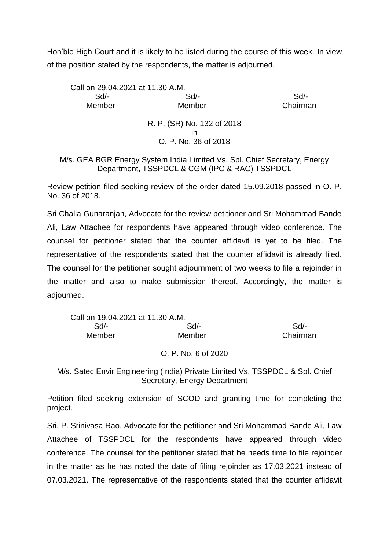Hon'ble High Court and it is likely to be listed during the course of this week. In view of the position stated by the respondents, the matter is adjourned.

Call on 29.04.2021 at 11.30 A.M. Sd/- Sd/- Sd/- Member Member Chairman R. P. (SR) No. 132 of 2018 in O. P. No. 36 of 2018

M/s. GEA BGR Energy System India Limited Vs. Spl. Chief Secretary, Energy Department, TSSPDCL & CGM (IPC & RAC) TSSPDCL

Review petition filed seeking review of the order dated 15.09.2018 passed in O. P. No. 36 of 2018.

Sri Challa Gunaranjan, Advocate for the review petitioner and Sri Mohammad Bande Ali, Law Attachee for respondents have appeared through video conference. The counsel for petitioner stated that the counter affidavit is yet to be filed. The representative of the respondents stated that the counter affidavit is already filed. The counsel for the petitioner sought adjournment of two weeks to file a rejoinder in the matter and also to make submission thereof. Accordingly, the matter is adjourned.

| Call on 19.04.2021 at 11.30 A.M. |          |
|----------------------------------|----------|
| Sd                               | Sd       |
| Member                           | Chairman |
|                                  |          |

O. P. No. 6 of 2020

M/s. Satec Envir Engineering (India) Private Limited Vs. TSSPDCL & Spl. Chief Secretary, Energy Department

Petition filed seeking extension of SCOD and granting time for completing the project.

Sri. P. Srinivasa Rao, Advocate for the petitioner and Sri Mohammad Bande Ali, Law Attachee of TSSPDCL for the respondents have appeared through video conference. The counsel for the petitioner stated that he needs time to file rejoinder in the matter as he has noted the date of filing rejoinder as 17.03.2021 instead of 07.03.2021. The representative of the respondents stated that the counter affidavit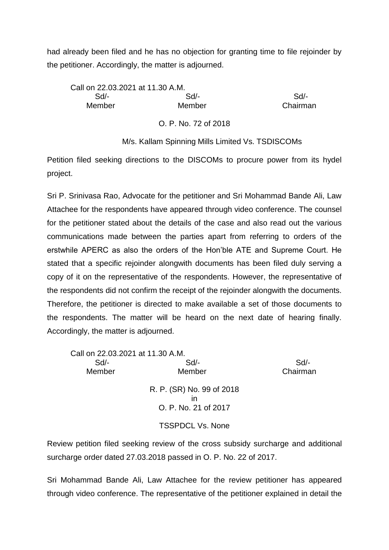had already been filed and he has no objection for granting time to file rejoinder by the petitioner. Accordingly, the matter is adjourned.

| Call on 22.03.2021 at 11.30 A.M. |        |          |
|----------------------------------|--------|----------|
| Sd/-                             | Sd/-   | Sd       |
| Member                           | Member | Chairman |
|                                  |        |          |

O. P. No. 72 of 2018

## M/s. Kallam Spinning Mills Limited Vs. TSDISCOMs

Petition filed seeking directions to the DISCOMs to procure power from its hydel project.

Sri P. Srinivasa Rao, Advocate for the petitioner and Sri Mohammad Bande Ali, Law Attachee for the respondents have appeared through video conference. The counsel for the petitioner stated about the details of the case and also read out the various communications made between the parties apart from referring to orders of the erstwhile APERC as also the orders of the Hon'ble ATE and Supreme Court. He stated that a specific rejoinder alongwith documents has been filed duly serving a copy of it on the representative of the respondents. However, the representative of the respondents did not confirm the receipt of the rejoinder alongwith the documents. Therefore, the petitioner is directed to make available a set of those documents to the respondents. The matter will be heard on the next date of hearing finally. Accordingly, the matter is adjourned.

| Call on 22.03.2021 at 11.30 A.M. |                           |          |
|----------------------------------|---------------------------|----------|
| $Sd$ -                           | Sd                        | Sd       |
| Member                           | Member                    | Chairman |
|                                  | R. P. (SR) No. 99 of 2018 |          |
|                                  |                           |          |
|                                  | O. P. No. 21 of 2017      |          |
|                                  | <b>TSSPDCL Vs. None</b>   |          |

Review petition filed seeking review of the cross subsidy surcharge and additional surcharge order dated 27.03.2018 passed in O. P. No. 22 of 2017.

Sri Mohammad Bande Ali, Law Attachee for the review petitioner has appeared through video conference. The representative of the petitioner explained in detail the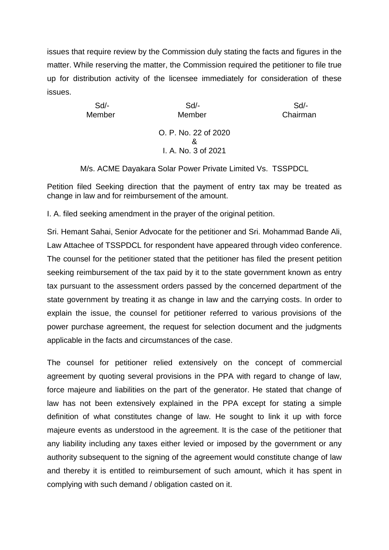issues that require review by the Commission duly stating the facts and figures in the matter. While reserving the matter, the Commission required the petitioner to file true up for distribution activity of the licensee immediately for consideration of these issues.

Sd/- Sd/- Sd/- Member Member Chairman O. P. No. 22 of 2020 & I. A. No. 3 of 2021

M/s. ACME Dayakara Solar Power Private Limited Vs. TSSPDCL

Petition filed Seeking direction that the payment of entry tax may be treated as change in law and for reimbursement of the amount.

I. A. filed seeking amendment in the prayer of the original petition.

Sri. Hemant Sahai, Senior Advocate for the petitioner and Sri. Mohammad Bande Ali, Law Attachee of TSSPDCL for respondent have appeared through video conference. The counsel for the petitioner stated that the petitioner has filed the present petition seeking reimbursement of the tax paid by it to the state government known as entry tax pursuant to the assessment orders passed by the concerned department of the state government by treating it as change in law and the carrying costs. In order to explain the issue, the counsel for petitioner referred to various provisions of the power purchase agreement, the request for selection document and the judgments applicable in the facts and circumstances of the case.

The counsel for petitioner relied extensively on the concept of commercial agreement by quoting several provisions in the PPA with regard to change of law, force majeure and liabilities on the part of the generator. He stated that change of law has not been extensively explained in the PPA except for stating a simple definition of what constitutes change of law. He sought to link it up with force majeure events as understood in the agreement. It is the case of the petitioner that any liability including any taxes either levied or imposed by the government or any authority subsequent to the signing of the agreement would constitute change of law and thereby it is entitled to reimbursement of such amount, which it has spent in complying with such demand / obligation casted on it.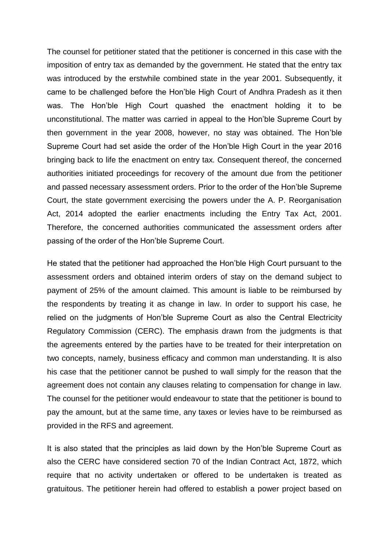The counsel for petitioner stated that the petitioner is concerned in this case with the imposition of entry tax as demanded by the government. He stated that the entry tax was introduced by the erstwhile combined state in the year 2001. Subsequently, it came to be challenged before the Hon'ble High Court of Andhra Pradesh as it then was. The Hon'ble High Court quashed the enactment holding it to be unconstitutional. The matter was carried in appeal to the Hon'ble Supreme Court by then government in the year 2008, however, no stay was obtained. The Hon'ble Supreme Court had set aside the order of the Hon'ble High Court in the year 2016 bringing back to life the enactment on entry tax. Consequent thereof, the concerned authorities initiated proceedings for recovery of the amount due from the petitioner and passed necessary assessment orders. Prior to the order of the Hon'ble Supreme Court, the state government exercising the powers under the A. P. Reorganisation Act, 2014 adopted the earlier enactments including the Entry Tax Act, 2001. Therefore, the concerned authorities communicated the assessment orders after passing of the order of the Hon'ble Supreme Court.

He stated that the petitioner had approached the Hon'ble High Court pursuant to the assessment orders and obtained interim orders of stay on the demand subject to payment of 25% of the amount claimed. This amount is liable to be reimbursed by the respondents by treating it as change in law. In order to support his case, he relied on the judgments of Hon'ble Supreme Court as also the Central Electricity Regulatory Commission (CERC). The emphasis drawn from the judgments is that the agreements entered by the parties have to be treated for their interpretation on two concepts, namely, business efficacy and common man understanding. It is also his case that the petitioner cannot be pushed to wall simply for the reason that the agreement does not contain any clauses relating to compensation for change in law. The counsel for the petitioner would endeavour to state that the petitioner is bound to pay the amount, but at the same time, any taxes or levies have to be reimbursed as provided in the RFS and agreement.

It is also stated that the principles as laid down by the Hon'ble Supreme Court as also the CERC have considered section 70 of the Indian Contract Act, 1872, which require that no activity undertaken or offered to be undertaken is treated as gratuitous. The petitioner herein had offered to establish a power project based on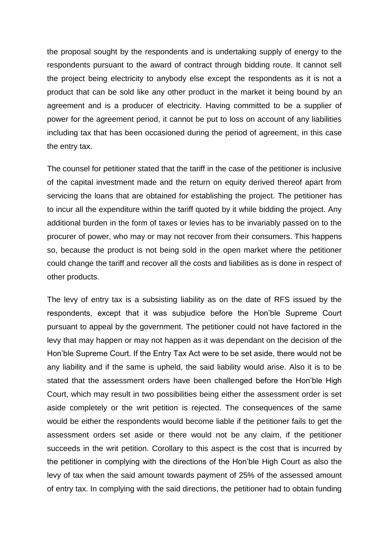the proposal sought by the respondents and is undertaking supply of energy to the respondents pursuant to the award of contract through bidding route. It cannot sell the project being electricity to anybody else except the respondents as it is not a product that can be sold like any other product in the market it being bound by an agreement and is a producer of electricity. Having committed to be a supplier of power for the agreement period, it cannot be put to loss on account of any liabilities including tax that has been occasioned during the period of agreement, in this case the entry tax.

The counsel for petitioner stated that the tariff in the case of the petitioner is inclusive of the capital investment made and the return on equity derived thereof apart from servicing the loans that are obtained for establishing the project. The petitioner has to incur all the expenditure within the tariff quoted by it while bidding the project. Any additional burden in the form of taxes or levies has to be invariably passed on to the procurer of power, who may or may not recover from their consumers. This happens so, because the product is not being sold in the open market where the petitioner could change the tariff and recover all the costs and liabilities as is done in respect of other products.

The levy of entry tax is a subsisting liability as on the date of RFS issued by the respondents, except that it was subjudice before the Hon'ble Supreme Court pursuant to appeal by the government. The petitioner could not have factored in the levy that may happen or may not happen as it was dependant on the decision of the Hon'ble Supreme Court. If the Entry Tax Act were to be set aside, there would not be any liability and if the same is upheld, the said liability would arise. Also it is to be stated that the assessment orders have been challenged before the Hon'ble High Court, which may result in two possibilities being either the assessment order is set aside completely or the writ petition is rejected. The consequences of the same would be either the respondents would become liable if the petitioner fails to get the assessment orders set aside or there would not be any claim, if the petitioner succeeds in the writ petition. Corollary to this aspect is the cost that is incurred by the petitioner in complying with the directions of the Hon'ble High Court as also the levy of tax when the said amount towards payment of 25% of the assessed amount of entry tax. In complying with the said directions, the petitioner had to obtain funding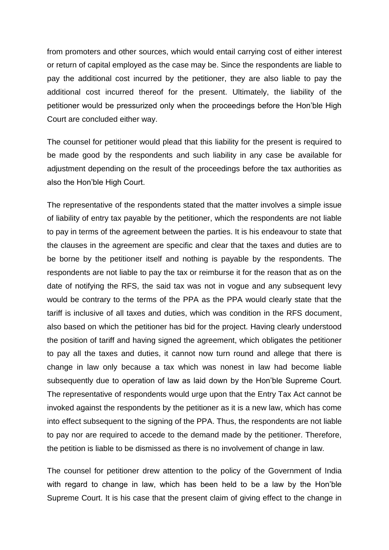from promoters and other sources, which would entail carrying cost of either interest or return of capital employed as the case may be. Since the respondents are liable to pay the additional cost incurred by the petitioner, they are also liable to pay the additional cost incurred thereof for the present. Ultimately, the liability of the petitioner would be pressurized only when the proceedings before the Hon'ble High Court are concluded either way.

The counsel for petitioner would plead that this liability for the present is required to be made good by the respondents and such liability in any case be available for adjustment depending on the result of the proceedings before the tax authorities as also the Hon'ble High Court.

The representative of the respondents stated that the matter involves a simple issue of liability of entry tax payable by the petitioner, which the respondents are not liable to pay in terms of the agreement between the parties. It is his endeavour to state that the clauses in the agreement are specific and clear that the taxes and duties are to be borne by the petitioner itself and nothing is payable by the respondents. The respondents are not liable to pay the tax or reimburse it for the reason that as on the date of notifying the RFS, the said tax was not in vogue and any subsequent levy would be contrary to the terms of the PPA as the PPA would clearly state that the tariff is inclusive of all taxes and duties, which was condition in the RFS document, also based on which the petitioner has bid for the project. Having clearly understood the position of tariff and having signed the agreement, which obligates the petitioner to pay all the taxes and duties, it cannot now turn round and allege that there is change in law only because a tax which was nonest in law had become liable subsequently due to operation of law as laid down by the Hon'ble Supreme Court. The representative of respondents would urge upon that the Entry Tax Act cannot be invoked against the respondents by the petitioner as it is a new law, which has come into effect subsequent to the signing of the PPA. Thus, the respondents are not liable to pay nor are required to accede to the demand made by the petitioner. Therefore, the petition is liable to be dismissed as there is no involvement of change in law.

The counsel for petitioner drew attention to the policy of the Government of India with regard to change in law, which has been held to be a law by the Hon'ble Supreme Court. It is his case that the present claim of giving effect to the change in